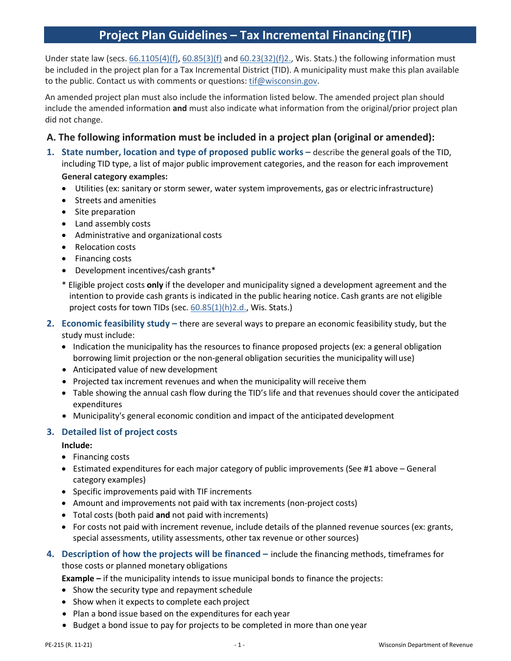# **Project Plan Guidelines – Tax Incremental Financing (TIF)**

Under state law (secs[. 66.1105\(4\)\(f\),](http://docs.legis.wisconsin.gov/document/statutes/66.1105(4)(f)) [60.85\(3\)\(f\)](http://docs.legis.wisconsin.gov/document/statutes/60.85(3)(f)) an[d 60.23\(32\)\(f\)2., W](http://docs.legis.wisconsin.gov/document/statutes/60.23(32)(f)2.)is. Stats.) the following information must be included in the project plan for a Tax Incremental District (TID). A municipality must make this plan available to the public. Contact us with comments or questions[: tif@wisconsin.gov.](mailto:tif@wisconsin.gov)

An amended project plan must also include the information listed below. The amended project plan should include the amended information **and** must also indicate what information from the original/prior project plan did not change.

# **A. The following information must be included in a project plan (original or amended):**

- **1. State number, location and type of proposed public works –** describe the general goals of the TID, including TID type, a list of major public improvement categories, and the reason for each improvement **General category examples:**
	- Utilities (ex: sanitary or storm sewer, water system improvements, gas or electric infrastructure)
	- Streets and amenities
	- Site preparation
	- Land assembly costs
	- Administrative and organizational costs
	- Relocation costs
	- Financing costs
	- Development incentives/cash grants\*
	- \* Eligible project costs **only** if the developer and municipality signed a development agreement and the intention to provide cash grants is indicated in the public hearing notice. Cash grants are not eligible project costs for town TIDs (sec. [60.85\(1\)\(h\)2.d., W](https://docs.legis.wisconsin.gov/statutes/statutes/60/X/85/1/h/2/d)is. Stats.)
- **2. Economic feasibility study –** there are several ways to prepare an economic feasibility study, but the study must include:
	- Indication the municipality has the resources to finance proposed projects (ex: a general obligation borrowing limit projection or the non-general obligation securities the municipality will use)
	- Anticipated value of new development
	- Projected tax increment revenues and when the municipality will receive them
	- Table showing the annual cash flow during the TID's life and that revenues should cover the anticipated expenditures
	- Municipality's general economic condition and impact of the anticipated development

## **3. Detailed list of project costs**

#### **Include:**

- Financing costs
- Estimated expenditures for each major category of public improvements (See #1 above General category examples)
- Specific improvements paid with TIF increments
- Amount and improvements not paid with tax increments (non-project costs)
- Total costs (both paid **and** not paid with increments)
- For costs not paid with increment revenue, include details of the planned revenue sources (ex: grants, special assessments, utility assessments, other tax revenue or other sources)
- **4. Description of how the projects will be financed –** include the financing methods, timeframes for those costs or planned monetary obligations

**Example –** if the municipality intends to issue municipal bonds to finance the projects:

- Show the security type and repayment schedule
- Show when it expects to complete each project
- Plan a bond issue based on the expenditures for each year
- Budget a bond issue to pay for projects to be completed in more than one year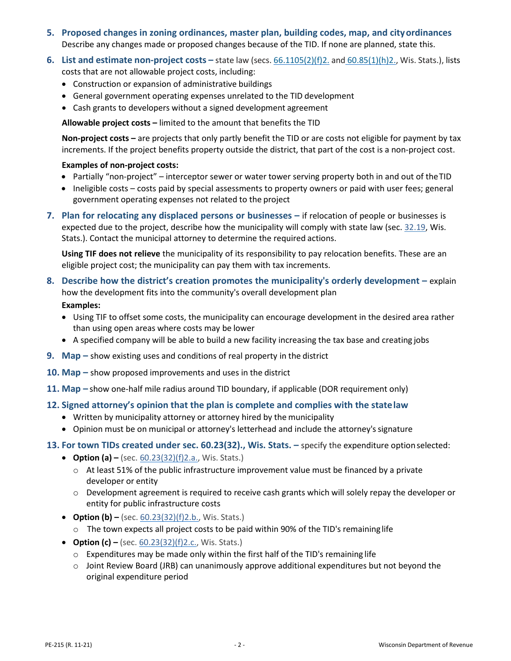- **5. Proposed changes in zoning ordinances, master plan, building codes, map, and cityordinances** Describe any changes made or proposed changes because of the TID. If none are planned, state this.
- **6. List and estimate non-project costs –** state law (secs. [66.1105\(2\)\(f\)2.](http://docs.legis.wisconsin.gov/document/statutes/66.1105(2)(f)2.) and [60.85\(1\)\(h\)2.,](http://docs.legis.wisconsin.gov/document/statutes/60.85(1)(h)2.) Wis. Stats.), lists costs that are not allowable project costs, including:
	- Construction or expansion of administrative buildings
	- General government operating expenses unrelated to the TID development
	- Cash grants to developers without a signed development agreement

**Allowable project costs –** limited to the amount that benefits the TID

**Non-project costs –** are projects that only partly benefit the TID or are costs not eligible for payment by tax increments. If the project benefits property outside the district, that part of the cost is a non-project cost.

#### **Examples of non-project costs:**

- Partially "non-project" interceptor sewer or water tower serving property both in and out of theTID
- Ineligible costs costs paid by special assessments to property owners or paid with user fees; general government operating expenses not related to the project
- **7. Plan for relocating any displaced persons or businesses –** if relocation of people or businesses is expected due to the project, describe how the municipality will comply with state law (sec. [32.19,](http://docs.legis.wisconsin.gov/document/statutes/32.19) Wis. Stats.). Contact the municipal attorney to determine the required actions.

**Using TIF does not relieve** the municipality of its responsibility to pay relocation benefits. These are an eligible project cost; the municipality can pay them with tax increments.

- **8. Describe how the district's creation promotes the municipality's orderly development –** explain how the development fits into the community's overall development plan **Examples:**
	- Using TIF to offset some costs, the municipality can encourage development in the desired area rather than using open areas where costs may be lower
	- A specified company will be able to build a new facility increasing the tax base and creating jobs
- **9. Map –** show existing uses and conditions of real property in the district
- **10. Map –** show proposed improvements and uses in the district
- **11. Map –** show one-half mile radius around TID boundary, if applicable (DOR requirement only)
- **12. Signed attorney's opinion that the plan is complete and complies with the statelaw**
	- Written by municipality attorney or attorney hired by the municipality
	- Opinion must be on municipal or attorney's letterhead and include the attorney'ssignature
- **13. For town TIDs created under sec. 60.23(32)., Wis. Stats. –** specify the expenditure optionselected:
	- **Option (a) –** (sec. [60.23\(32\)\(f\)2.a., W](http://docs.legis.wisconsin.gov/document/statutes/60.23(32)(f)2.a.)is. Stats.)
		- o At least 51% of the public infrastructure improvement value must be financed by a private developer or entity
		- $\circ$  Development agreement is required to receive cash grants which will solely repay the developer or entity for public infrastructure costs
	- **Option (b) –** (sec. [60.23\(32\)\(f\)2.b., W](http://docs.legis.wisconsin.gov/document/statutes/60.23(32)(f)2.b.)is. Stats.)
		- $\circ$  The town expects all project costs to be paid within 90% of the TID's remaining life
	- **Option (c)** (sec. [60.23\(32\)\(f\)2.c., W](http://docs.legis.wisconsin.gov/document/statutes/60.23(32)(f)2.c.)is. Stats.)
		- $\circ$  Expenditures may be made only within the first half of the TID's remaining life
		- $\circ$  Joint Review Board (JRB) can unanimously approve additional expenditures but not beyond the original expenditure period